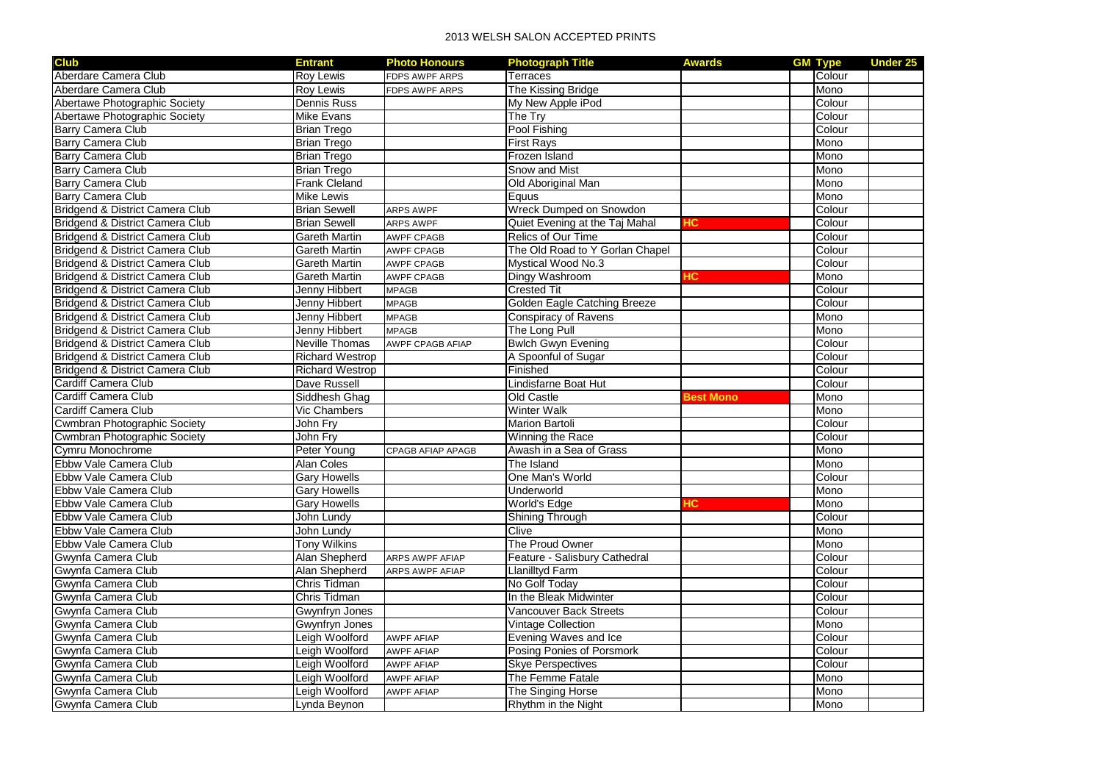## 2013 WELSH SALON ACCEPTED PRINTS

| <b>Club</b>                         | Entrant                | <b>Photo Honours</b>     | <b>Photograph Title</b>         | <b>Awards</b>    | <b>GM Type</b> | <b>Under 25</b> |
|-------------------------------------|------------------------|--------------------------|---------------------------------|------------------|----------------|-----------------|
| Aberdare Camera Club                | <b>Roy Lewis</b>       | <b>FDPS AWPF ARPS</b>    | <b>Terraces</b>                 |                  | Colour         |                 |
| Aberdare Camera Club                | <b>Rov Lewis</b>       | <b>FDPS AWPF ARPS</b>    | The Kissing Bridge              |                  | <b>Mono</b>    |                 |
| Abertawe Photographic Society       | Dennis Russ            |                          | My New Apple iPod               |                  | Colour         |                 |
| Abertawe Photographic Society       | Mike Evans             |                          | The Try                         |                  | Colour         |                 |
| Barry Camera Club                   | <b>Brian Trego</b>     |                          | Pool Fishing                    |                  | Colour         |                 |
| Barry Camera Club                   | <b>Brian Trego</b>     |                          | <b>First Rays</b>               |                  | Mono           |                 |
| Barry Camera Club                   | <b>Brian Trego</b>     |                          | Frozen Island                   |                  | Mono           |                 |
| Barry Camera Club                   | <b>Brian Trego</b>     |                          | Snow and Mist                   |                  | Mono           |                 |
| <b>Barry Camera Club</b>            | <b>Frank Cleland</b>   |                          | Old Aboriginal Man              |                  | Mono           |                 |
| <b>Barry Camera Club</b>            | <b>Mike Lewis</b>      |                          | Equus                           |                  | Mono           |                 |
| Bridgend & District Camera Club     | <b>Brian Sewell</b>    | <b>ARPS AWPF</b>         | Wreck Dumped on Snowdon         |                  | Colour         |                 |
| Bridgend & District Camera Club     | <b>Brian Sewell</b>    | <b>ARPS AWPF</b>         | Quiet Evening at the Taj Mahal  | łС               | Colour         |                 |
| Bridgend & District Camera Club     | Gareth Martin          | <b>AWPF CPAGB</b>        | Relics of Our Time              |                  | Colour         |                 |
| Bridgend & District Camera Club     | Gareth Martin          | <b>AWPF CPAGB</b>        | The Old Road to Y Gorlan Chapel |                  | Colour         |                 |
| Bridgend & District Camera Club     | <b>Gareth Martin</b>   | <b>AWPF CPAGB</b>        | Mystical Wood No.3              |                  | Colour         |                 |
| Bridgend & District Camera Club     | <b>Gareth Martin</b>   | <b>AWPF CPAGB</b>        | Dingy Washroom                  | HС               | Mono           |                 |
| Bridgend & District Camera Club     | <b>Jenny Hibbert</b>   | <b>MPAGB</b>             | <b>Crested Tit</b>              |                  | Colour         |                 |
| Bridgend & District Camera Club     | <b>Jenny Hibbert</b>   | <b>MPAGB</b>             | Golden Eagle Catching Breeze    |                  | Colour         |                 |
| Bridgend & District Camera Club     | <b>Jenny Hibbert</b>   | <b>MPAGB</b>             | <b>Conspiracy of Ravens</b>     |                  | Mono           |                 |
| Bridgend & District Camera Club     | Jenny Hibbert          | <b>MPAGB</b>             | The Long Pull                   |                  | Mono           |                 |
| Bridgend & District Camera Club     | <b>Neville Thomas</b>  | <b>AWPF CPAGB AFIAP</b>  | <b>Bwlch Gwyn Evening</b>       |                  | Colour         |                 |
| Bridgend & District Camera Club     | <b>Richard Westrop</b> |                          | A Spoonful of Sugar             |                  | Colour         |                 |
| Bridgend & District Camera Club     | <b>Richard Westrop</b> |                          | Finished                        |                  | Colour         |                 |
| Cardiff Camera Club                 | Dave Russell           |                          | Lindisfarne Boat Hut            |                  | Colour         |                 |
| Cardiff Camera Club                 | Siddhesh Ghag          |                          | Old Castle                      | <b>Sest Mono</b> | Mono           |                 |
| Cardiff Camera Club                 | Vic Chambers           |                          | <b>Winter Walk</b>              |                  | Mono           |                 |
| <b>Cwmbran Photographic Society</b> | John Fry               |                          | Marion Bartoli                  |                  | Colour         |                 |
| Cwmbran Photographic Society        | John Fry               |                          | Winning the Race                |                  | Colour         |                 |
| Cymru Monochrome                    | Peter Young            | <b>CPAGB AFIAP APAGB</b> | Awash in a Sea of Grass         |                  | Mono           |                 |
| Ebbw Vale Camera Club               | <b>Alan Coles</b>      |                          | The Island                      |                  | Mono           |                 |
| Ebbw Vale Camera Club               | <b>Gary Howells</b>    |                          | One Man's World                 |                  | Colour         |                 |
| Ebbw Vale Camera Club               | <b>Gary Howells</b>    |                          | Underworld                      |                  | Mono           |                 |
| Ebbw Vale Camera Club               | <b>Gary Howells</b>    |                          | World's Edge                    |                  | Mono           |                 |
| Ebbw Vale Camera Club               | John Lundy             |                          | Shining Through                 |                  | Colour         |                 |
| Ebbw Vale Camera Club               | John Lundy             |                          | Clive                           |                  | Mono           |                 |
| Ebbw Vale Camera Club               | <b>Tony Wilkins</b>    |                          | The Proud Owner                 |                  | Mono           |                 |
| Gwynfa Camera Club                  | Alan Shepherd          | <b>ARPS AWPF AFIAP</b>   | Feature - Salisbury Cathedral   |                  | Colour         |                 |
| Gwynfa Camera Club                  | Alan Shepherd          | <b>ARPS AWPF AFIAP</b>   | <b>Llanilltyd Farm</b>          |                  | Colour         |                 |
| Gwynfa Camera Club                  | Chris Tidman           |                          | No Golf Today                   |                  | Colour         |                 |
| Gwynfa Camera Club                  | Chris Tidman           |                          | In the Bleak Midwinter          |                  | Colour         |                 |
| Gwynfa Camera Club                  | Gwynfryn Jones         |                          | <b>Vancouver Back Streets</b>   |                  | Colour         |                 |
| Gwynfa Camera Club                  | Gwynfryn Jones         |                          | Vintage Collection              |                  | Mono           |                 |
| Gwynfa Camera Club                  | Leigh Woolford         | <b>AWPF AFIAP</b>        | Evening Waves and Ice           |                  | Colour         |                 |
| Gwynfa Camera Club                  | Leigh Woolford         | <b>AWPF AFIAP</b>        | Posing Ponies of Porsmork       |                  | Colour         |                 |
| Gwynfa Camera Club                  | Leigh Woolford         | <b>AWPF AFIAP</b>        | <b>Skye Perspectives</b>        |                  | Colour         |                 |
| Gwynfa Camera Club                  | Leigh Woolford         | <b>AWPF AFIAP</b>        | The Femme Fatale                |                  | Mono           |                 |
| Gwynfa Camera Club                  | Leigh Woolford         | <b>AWPF AFIAP</b>        | The Singing Horse               |                  | Mono           |                 |
| Gwynfa Camera Club                  | Lynda Beynon           |                          | Rhythm in the Night             |                  | Mono           |                 |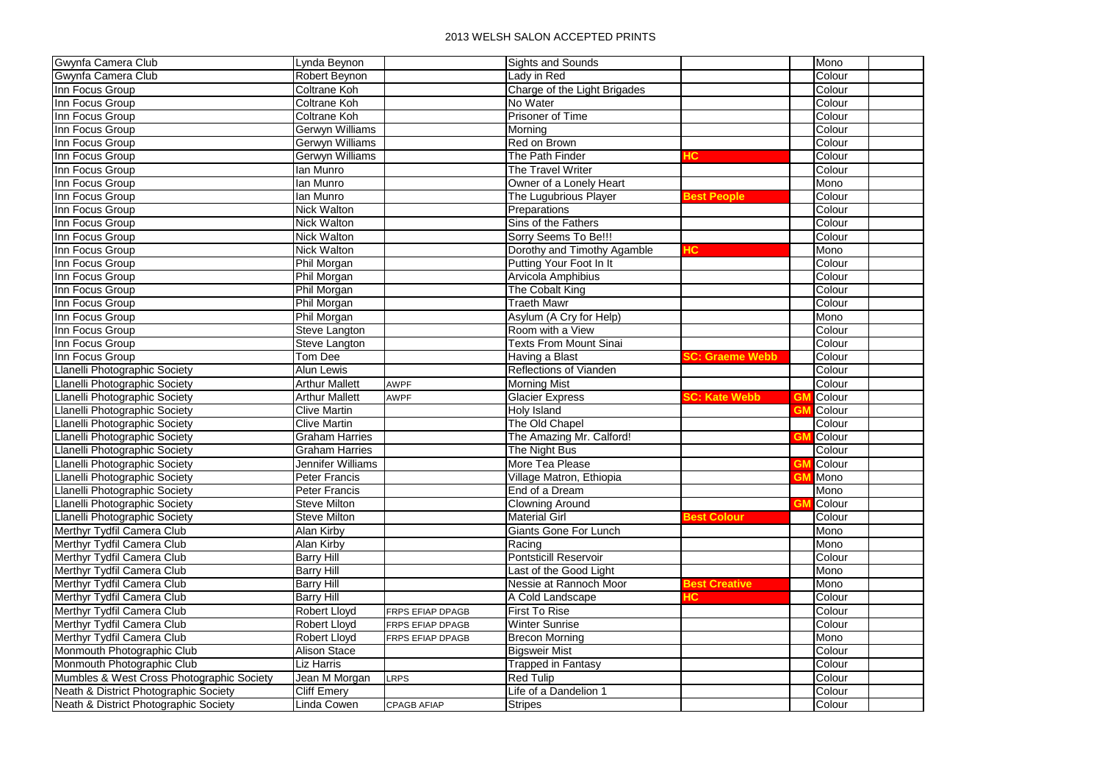| Gwynfa Camera Club                        | Lynda Beynon          |                         | <b>Sights and Sounds</b>      |                      |    | Mono   |  |
|-------------------------------------------|-----------------------|-------------------------|-------------------------------|----------------------|----|--------|--|
| Gwynfa Camera Club                        | Robert Beynon         |                         | Lady in Red                   |                      |    | Colour |  |
| Inn Focus Group                           | Coltrane Koh          |                         | Charge of the Light Brigades  |                      |    | Colour |  |
| Inn Focus Group                           | Coltrane Koh          |                         | No Water                      |                      |    | Colour |  |
| Inn Focus Group                           | Coltrane Koh          |                         | Prisoner of Time              |                      |    | Colour |  |
| Inn Focus Group                           | Gerwyn Williams       |                         | Morning                       |                      |    | Colour |  |
| Inn Focus Group                           | Gerwyn Williams       |                         | Red on Brown                  |                      |    | Colour |  |
| Inn Focus Group                           | Gerwyn Williams       |                         | The Path Finder               | -ю                   |    | Colour |  |
| Inn Focus Group                           | lan Munro             |                         | The Travel Writer             |                      |    | Colour |  |
| Inn Focus Group                           | lan Munro             |                         | Owner of a Lonely Heart       |                      |    | Mono   |  |
| Inn Focus Group                           | lan Munro             |                         | The Lugubrious Player         | <b>Best People</b>   |    | Colour |  |
| Inn Focus Group                           | <b>Nick Walton</b>    |                         | Preparations                  |                      |    | Colour |  |
| Inn Focus Group                           | <b>Nick Walton</b>    |                         | Sins of the Fathers           |                      |    | Colour |  |
| Inn Focus Group                           | <b>Nick Walton</b>    |                         | Sorry Seems To Be!!!          |                      |    | Colour |  |
| Inn Focus Group                           | <b>Nick Walton</b>    |                         | Dorothy and Timothy Agamble   | HС                   |    | Mono   |  |
| Inn Focus Group                           | Phil Morgan           |                         | Putting Your Foot In It       |                      |    | Colour |  |
| Inn Focus Group                           | Phil Morgan           |                         | Arvicola Amphibius            |                      |    | Colour |  |
| Inn Focus Group                           | Phil Morgan           |                         | The Cobalt King               |                      |    | Colour |  |
| Inn Focus Group                           | Phil Morgan           |                         | <b>Traeth Mawr</b>            |                      |    | Colour |  |
| Inn Focus Group                           | Phil Morgan           |                         | Asylum (A Cry for Help)       |                      |    | Mono   |  |
| Inn Focus Group                           | Steve Langton         |                         | Room with a View              |                      |    | Colour |  |
| Inn Focus Group                           | Steve Langton         |                         | <b>Texts From Mount Sinai</b> |                      |    | Colour |  |
| Inn Focus Group                           | Tom Dee               |                         | Having a Blast                | C: Graeme Webb       |    | Colour |  |
| Llanelli Photographic Society             | Alun Lewis            |                         | Reflections of Vianden        |                      |    | Colour |  |
| Llanelli Photographic Society             | <b>Arthur Mallett</b> | <b>AWPF</b>             | <b>Morning Mist</b>           |                      |    | Colour |  |
| Llanelli Photographic Society             | <b>Arthur Mallett</b> | <b>AWPF</b>             | <b>Glacier Express</b>        | C: Kate Webb         | GN | Colour |  |
| Llanelli Photographic Society             | <b>Clive Martin</b>   |                         | Holy Island                   |                      | GN | Colour |  |
| Llanelli Photographic Society             | <b>Clive Martin</b>   |                         | The Old Chapel                |                      |    | Colour |  |
| Llanelli Photographic Society             | <b>Graham Harries</b> |                         | The Amazing Mr. Calford!      |                      | GM | Colour |  |
| Llanelli Photographic Society             | <b>Graham Harries</b> |                         | The Night Bus                 |                      |    | Colour |  |
| Llanelli Photographic Society             | Jennifer Williams     |                         | More Tea Please               |                      | GM | Colour |  |
| Llanelli Photographic Society             | <b>Peter Francis</b>  |                         | Village Matron, Ethiopia      |                      | GN | Mono   |  |
| Llanelli Photographic Society             | <b>Peter Francis</b>  |                         | End of a Dream                |                      |    | Mono   |  |
| Llanelli Photographic Society             | Steve Milton          |                         | <b>Clowning Around</b>        |                      |    | Colour |  |
| Llanelli Photographic Society             | <b>Steve Milton</b>   |                         | <b>Material Girl</b>          | <b>Best Colour</b>   |    | Colour |  |
| Merthyr Tydfil Camera Club                | <b>Alan Kirby</b>     |                         | Giants Gone For Lunch         |                      |    | Mono   |  |
| Merthyr Tydfil Camera Club                | <b>Alan Kirby</b>     |                         | Racing                        |                      |    | Mono   |  |
| Merthyr Tydfil Camera Club                | <b>Barry Hill</b>     |                         | <b>Pontsticill Reservoir</b>  |                      |    | Colour |  |
| Merthyr Tydfil Camera Club                | <b>Barry Hill</b>     |                         | Last of the Good Light        |                      |    | Mono   |  |
| Merthyr Tydfil Camera Club                | <b>Barry Hill</b>     |                         | Nessie at Rannoch Moor        | <b>Best Creative</b> |    | Mono   |  |
| Merthyr Tydfil Camera Club                | <b>Barry Hill</b>     |                         | A Cold Landscape              | łС                   |    | Colour |  |
| Merthyr Tydfil Camera Club                | <b>Robert Lloyd</b>   | <b>FRPS EFIAP DPAGB</b> | <b>First To Rise</b>          |                      |    | Colour |  |
| Merthyr Tydfil Camera Club                | Robert Lloyd          | FRPS EFIAP DPAGB        | <b>Winter Sunrise</b>         |                      |    | Colour |  |
| Merthyr Tydfil Camera Club                | <b>Robert Lloyd</b>   | FRPS EFIAP DPAGB        | <b>Brecon Morning</b>         |                      |    | Mono   |  |
| Monmouth Photographic Club                | <b>Alison Stace</b>   |                         | <b>Bigsweir Mist</b>          |                      |    | Colour |  |
| Monmouth Photographic Club                | <b>Liz Harris</b>     |                         | <b>Trapped in Fantasy</b>     |                      |    | Colour |  |
| Mumbles & West Cross Photographic Society | Jean M Morgan         | <b>LRPS</b>             | <b>Red Tulip</b>              |                      |    | Colour |  |
| Neath & District Photographic Society     | <b>Cliff Emery</b>    |                         | Life of a Dandelion 1         |                      |    | Colour |  |
| Neath & District Photographic Society     | <b>Linda Cowen</b>    | <b>CPAGB AFIAP</b>      | <b>Stripes</b>                |                      |    | Colour |  |